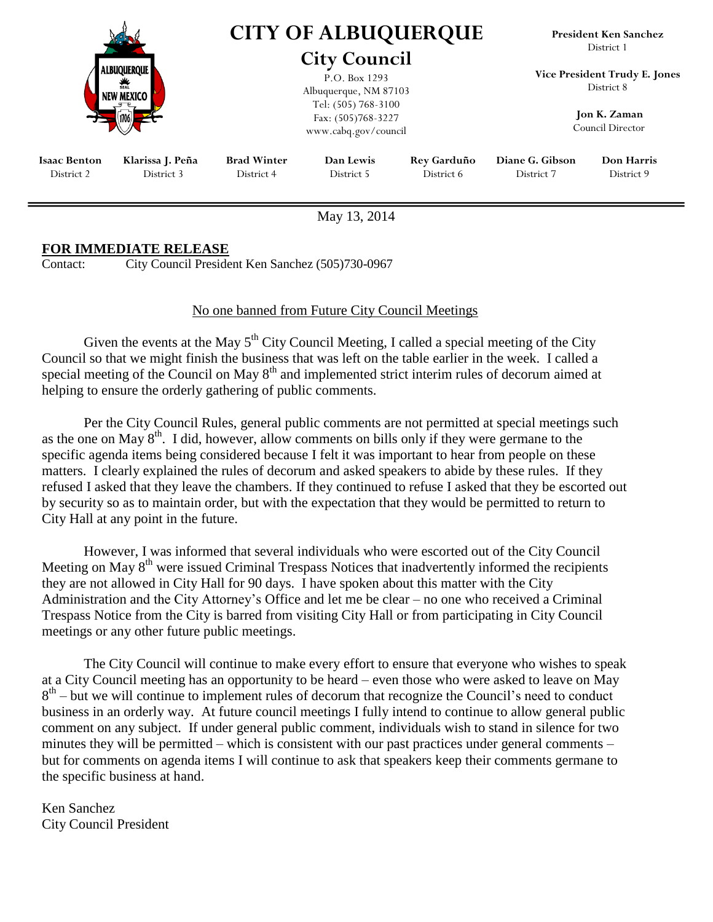|                                   |                                                        | <b>CITY OF ALBUQUERQUE</b><br><b>City Council</b><br>P.O. Box 1293<br>Albuquerque, NM 87103 |                         |                                  | <b>President Ken Sanchez</b><br>District 1<br>Vice President Trudy E. Jones<br>District 8 |                                 |
|-----------------------------------|--------------------------------------------------------|---------------------------------------------------------------------------------------------|-------------------------|----------------------------------|-------------------------------------------------------------------------------------------|---------------------------------|
|                                   | <b>ALBUOUEROUE</b><br><b>SEAL</b><br><b>NEW MEXICO</b> |                                                                                             |                         |                                  |                                                                                           |                                 |
|                                   |                                                        | Tel: (505) 768-3100<br>Fax: (505)768-3227<br>www.cabq.gov/council                           |                         |                                  | Jon K. Zaman<br>Council Director                                                          |                                 |
| <b>Isaac Benton</b><br>District 2 | Klarissa J. Peña<br>District 3                         | <b>Brad Winter</b><br>District 4                                                            | Dan Lewis<br>District 5 | <b>Rey Garduño</b><br>District 6 | Diane G. Gibson<br>District 7                                                             | <b>Don Harris</b><br>District 9 |

May 13, 2014

## **FOR IMMEDIATE RELEASE**

Contact: City Council President Ken Sanchez (505)730-0967

## No one banned from Future City Council Meetings

Given the events at the May  $5<sup>th</sup>$  City Council Meeting, I called a special meeting of the City Council so that we might finish the business that was left on the table earlier in the week. I called a special meeting of the Council on May  $8<sup>th</sup>$  and implemented strict interim rules of decorum aimed at helping to ensure the orderly gathering of public comments.

Per the City Council Rules, general public comments are not permitted at special meetings such as the one on May  $8<sup>th</sup>$ . I did, however, allow comments on bills only if they were germane to the specific agenda items being considered because I felt it was important to hear from people on these matters. I clearly explained the rules of decorum and asked speakers to abide by these rules. If they refused I asked that they leave the chambers. If they continued to refuse I asked that they be escorted out by security so as to maintain order, but with the expectation that they would be permitted to return to City Hall at any point in the future.

However, I was informed that several individuals who were escorted out of the City Council Meeting on May  $8<sup>th</sup>$  were issued Criminal Trespass Notices that inadvertently informed the recipients they are not allowed in City Hall for 90 days. I have spoken about this matter with the City Administration and the City Attorney's Office and let me be clear – no one who received a Criminal Trespass Notice from the City is barred from visiting City Hall or from participating in City Council meetings or any other future public meetings.

The City Council will continue to make every effort to ensure that everyone who wishes to speak at a City Council meeting has an opportunity to be heard – even those who were asked to leave on May  $8<sup>th</sup>$  – but we will continue to implement rules of decorum that recognize the Council's need to conduct business in an orderly way. At future council meetings I fully intend to continue to allow general public comment on any subject. If under general public comment, individuals wish to stand in silence for two minutes they will be permitted – which is consistent with our past practices under general comments – but for comments on agenda items I will continue to ask that speakers keep their comments germane to the specific business at hand.

Ken Sanchez City Council President